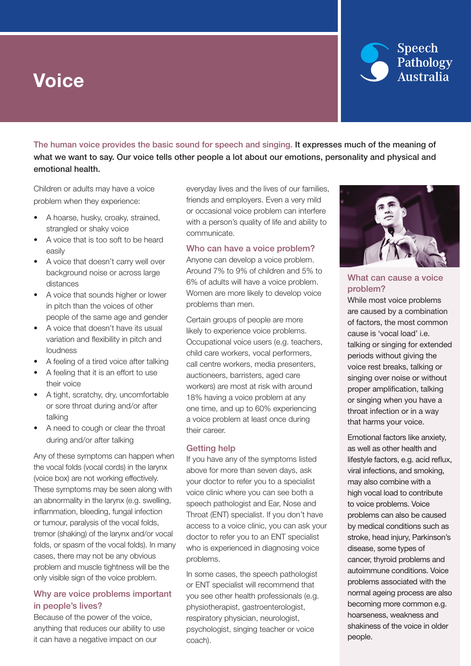# Voice



The human voice provides the basic sound for speech and singing. It expresses much of the meaning of what we want to say. Our voice tells other people a lot about our emotions, personality and physical and emotional health.

Children or adults may have a voice problem when they experience:

- A hoarse, husky, croaky, strained, strangled or shaky voice
- A voice that is too soft to be heard easily
- A voice that doesn't carry well over background noise or across large distances
- A voice that sounds higher or lower in pitch than the voices of other people of the same age and gender
- A voice that doesn't have its usual variation and flexibility in pitch and loudness
- A feeling of a tired voice after talking
- • A feeling that it is an effort to use their voice
- A tight, scratchy, dry, uncomfortable or sore throat during and/or after talking
- A need to cough or clear the throat during and/or after talking

Any of these symptoms can happen when the vocal folds (vocal cords) in the larynx (voice box) are not working effectively. These symptoms may be seen along with an abnormality in the larynx (e.g. swelling, inflammation, bleeding, fungal infection or tumour, paralysis of the vocal folds, tremor (shaking) of the larynx and/or vocal folds, or spasm of the vocal folds). In many cases, there may not be any obvious problem and muscle tightness will be the only visible sign of the voice problem.

### Why are voice problems important in people's lives?

Because of the power of the voice, anything that reduces our ability to use it can have a negative impact on our

everyday lives and the lives of our families, friends and employers. Even a very mild or occasional voice problem can interfere with a person's quality of life and ability to communicate.

#### Who can have a voice problem?

Anyone can develop a voice problem. Around 7% to 9% of children and 5% to 6% of adults will have a voice problem. Women are more likely to develop voice problems than men.

Certain groups of people are more likely to experience voice problems. Occupational voice users (e.g. teachers, child care workers, vocal performers, call centre workers, media presenters, auctioneers, barristers, aged care workers) are most at risk with around 18% having a voice problem at any one time, and up to 60% experiencing a voice problem at least once during their career.

### Getting help

If you have any of the symptoms listed above for more than seven days, ask your doctor to refer you to a specialist voice clinic where you can see both a speech pathologist and Ear, Nose and Throat (ENT) specialist. If you don't have access to a voice clinic, you can ask your doctor to refer you to an ENT specialist who is experienced in diagnosing voice problems.

In some cases, the speech pathologist or ENT specialist will recommend that you see other health professionals (e.g. physiotherapist, gastroenterologist, respiratory physician, neurologist, psychologist, singing teacher or voice coach).



### What can cause a voice problem?

While most voice problems are caused by a combination of factors, the most common cause is 'vocal load' i.e. talking or singing for extended periods without giving the voice rest breaks, talking or singing over noise or without proper amplification, talking or singing when you have a throat infection or in a way that harms your voice.

Emotional factors like anxiety, as well as other health and lifestyle factors, e.g. acid reflux, viral infections, and smoking, may also combine with a high vocal load to contribute to voice problems. Voice problems can also be caused by medical conditions such as stroke, head injury, Parkinson's disease, some types of cancer, thyroid problems and autoimmune conditions. Voice problems associated with the normal ageing process are also becoming more common e.g. hoarseness, weakness and shakiness of the voice in older people.